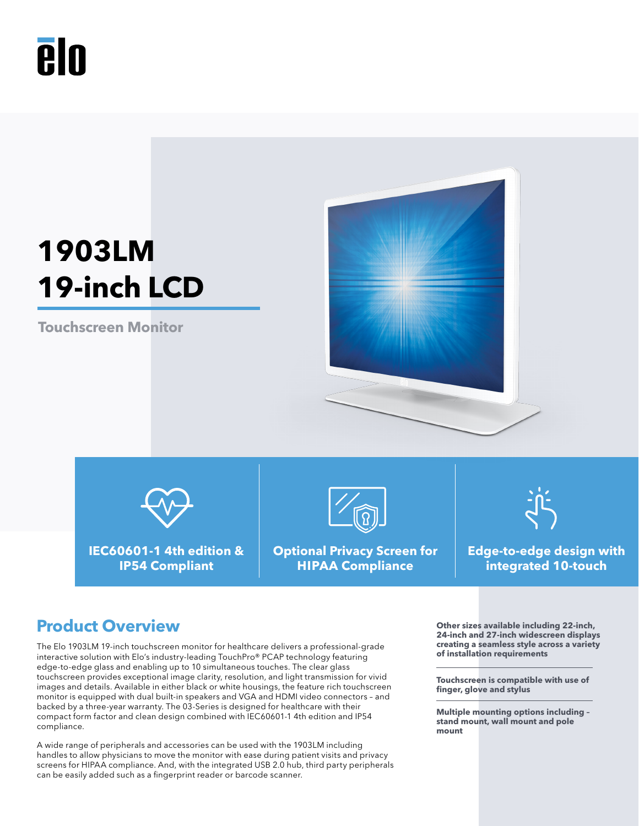## Ā In

# **1903LM 19-inch LCD**

**Touchscreen Monitor**





**IEC60601-1 4th edition & IP54 Compliant**



**Optional Privacy Screen for HIPAA Compliance**



**Edge-to-edge design with integrated 10-touch**

### **Product Overview Outer Service We are all the Service Services** of the sizes available including 22-inch,

The Elo 1903LM 19-inch touchscreen monitor for healthcare delivers a professional-grade interactive solution with Elo's industry-leading TouchPro® PCAP technology featuring edge-to-edge glass and enabling up to 10 simultaneous touches. The clear glass touchscreen provides exceptional image clarity, resolution, and light transmission for vivid images and details. Available in either black or white housings, the feature rich touchscreen monitor is equipped with dual built-in speakers and VGA and HDMI video connectors – and backed by a three-year warranty. The 03-Series is designed for healthcare with their compact form factor and clean design combined with IEC60601-1 4th edition and IP54 compliance.

A wide range of peripherals and accessories can be used with the 1903LM including handles to allow physicians to move the monitor with ease during patient visits and privacy screens for HIPAA compliance. And, with the integrated USB 2.0 hub, third party peripherals can be easily added such as a fingerprint reader or barcode scanner.

**24-inch and 27-inch widescreen displays creating a seamless style across a variety of installation requirements**

**Touchscreen is compatible with use of finger, glove and stylus**

**Multiple mounting options including – stand mount, wall mount and pole mount**